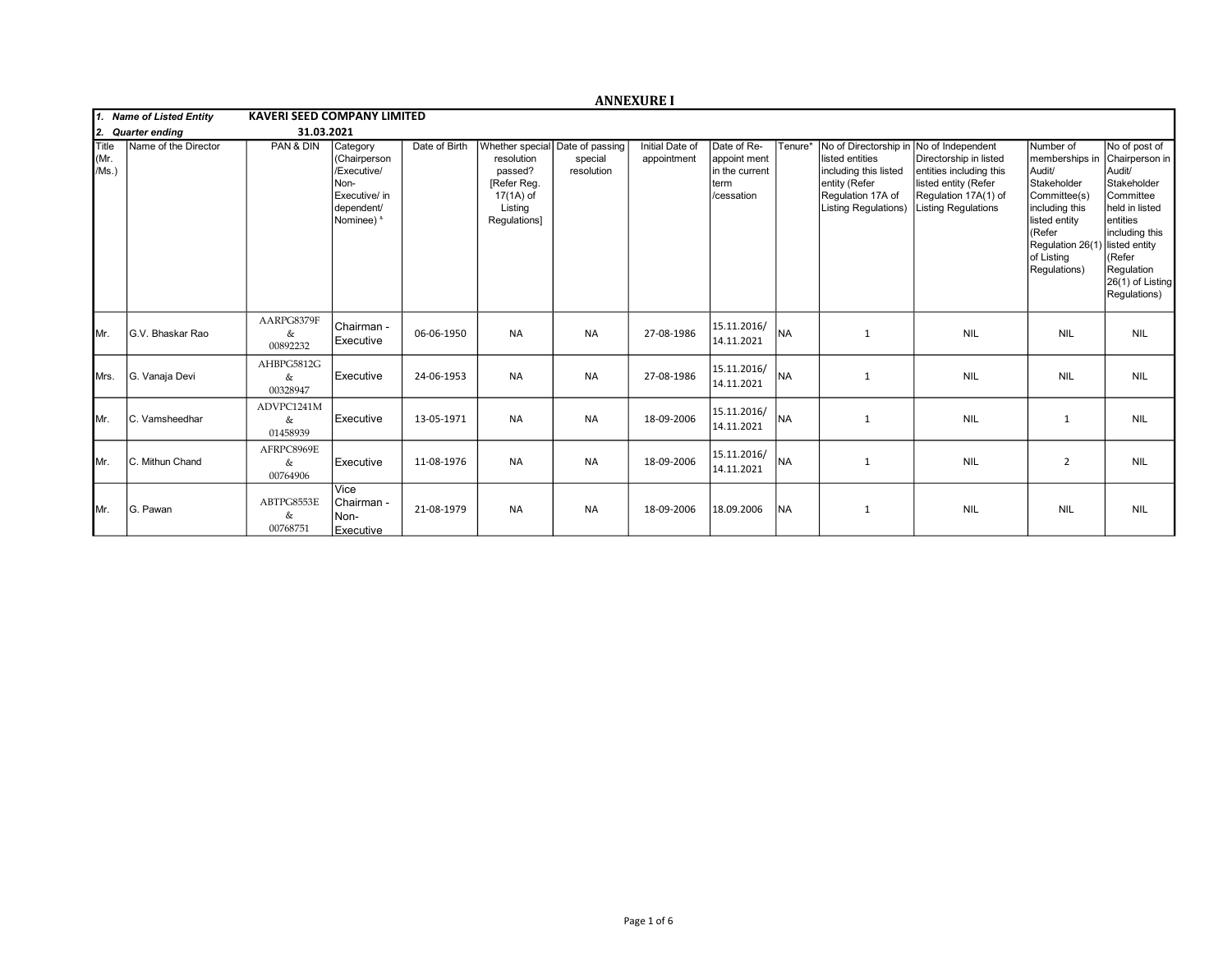|                                                          |                      |                                    |                                                                                              |               |                                                                                                                 |                       | <b>ANNEXURE I</b>              |                                                                     |           |                                                                                                                                        |                                                                                                                                                      |                                                                                                                                                                                   |                                                                                                                                                                                    |  |
|----------------------------------------------------------|----------------------|------------------------------------|----------------------------------------------------------------------------------------------|---------------|-----------------------------------------------------------------------------------------------------------------|-----------------------|--------------------------------|---------------------------------------------------------------------|-----------|----------------------------------------------------------------------------------------------------------------------------------------|------------------------------------------------------------------------------------------------------------------------------------------------------|-----------------------------------------------------------------------------------------------------------------------------------------------------------------------------------|------------------------------------------------------------------------------------------------------------------------------------------------------------------------------------|--|
| 1. Name of Listed Entity<br>12.<br><b>Quarter ending</b> |                      | <b>KAVERI SEED COMPANY LIMITED</b> |                                                                                              |               |                                                                                                                 |                       |                                |                                                                     |           |                                                                                                                                        |                                                                                                                                                      |                                                                                                                                                                                   |                                                                                                                                                                                    |  |
|                                                          |                      | 31.03.2021                         |                                                                                              |               |                                                                                                                 |                       |                                |                                                                     |           |                                                                                                                                        |                                                                                                                                                      |                                                                                                                                                                                   |                                                                                                                                                                                    |  |
| <b>Title</b><br>Mr.<br>/Ms.)                             | Name of the Director | PAN & DIN                          | Category<br>(Chairperson<br>/Executive/<br>Non-<br>Executive/ in<br>dependent/<br>Nominee) & | Date of Birth | Whether special Date of passing<br>resolution<br>passed?<br>[Refer Reg.<br>17(1A) of<br>Listing<br>Regulations] | special<br>resolution | Initial Date of<br>appointment | Date of Re-<br>appoint ment<br>in the current<br>term<br>/cessation | Tenure*   | No of Directorship in<br>listed entities<br>including this listed<br>entity (Refer<br>Regulation 17A of<br><b>Listing Regulations)</b> | No of Independent<br>Directorship in listed<br>entities including this<br>listed entity (Refer<br>Regulation 17A(1) of<br><b>Listing Regulations</b> | Number of<br>memberships in<br>Audit/<br>Stakeholder<br>Committee(s)<br>including this<br>listed entity<br>(Refer<br>Regulation 26(1) listed entity<br>of Listing<br>Regulations) | No of post of<br>Chairperson in<br>Audit/<br>Stakeholder<br>Committee<br>held in listed<br>lentities<br>including this<br>KRefer<br>Regulation<br>26(1) of Listing<br>Regulations) |  |
| IMr.                                                     | G.V. Bhaskar Rao     | AARPG8379F<br>&<br>00892232        | Chairman -<br>Executive                                                                      | 06-06-1950    | <b>NA</b>                                                                                                       | <b>NA</b>             | 27-08-1986                     | 15.11.2016/<br>14.11.2021                                           | <b>NA</b> | 1                                                                                                                                      | <b>NIL</b>                                                                                                                                           | <b>NIL</b>                                                                                                                                                                        | <b>NIL</b>                                                                                                                                                                         |  |
| <b>I</b> Mrs.                                            | G. Vanaja Devi       | AHBPG5812G<br>&<br>00328947        | Executive                                                                                    | 24-06-1953    | <b>NA</b>                                                                                                       | <b>NA</b>             | 27-08-1986                     | 15.11.2016/<br>14.11.2021                                           | <b>NA</b> | $\mathbf{1}$                                                                                                                           | <b>NIL</b>                                                                                                                                           | <b>NIL</b>                                                                                                                                                                        | <b>NIL</b>                                                                                                                                                                         |  |
| IMr.                                                     | C. Vamsheedhar       | ADVPC1241M<br>&<br>01458939        | Executive                                                                                    | 13-05-1971    | <b>NA</b>                                                                                                       | <b>NA</b>             | 18-09-2006                     | 15.11.2016/<br>14.11.2021                                           | Ina       | 1                                                                                                                                      | <b>NIL</b>                                                                                                                                           | $\mathbf{1}$                                                                                                                                                                      | <b>NIL</b>                                                                                                                                                                         |  |
| IMr.                                                     | C. Mithun Chand      | AFRPC8969E<br>&<br>00764906        | Executive                                                                                    | 11-08-1976    | <b>NA</b>                                                                                                       | <b>NA</b>             | 18-09-2006                     | 15.11.2016/<br>14.11.2021                                           | Ina       | 1                                                                                                                                      | <b>NIL</b>                                                                                                                                           | $\overline{2}$                                                                                                                                                                    | <b>NIL</b>                                                                                                                                                                         |  |
| IMr.                                                     | G. Pawan             | ABTPG8553E<br>&<br>00768751        | Vice<br>l Chairman -<br>Non-<br>Executive                                                    | 21-08-1979    | <b>NA</b>                                                                                                       | <b>NA</b>             | 18-09-2006                     | 18.09.2006                                                          | <b>NA</b> | $\mathbf{1}$                                                                                                                           | <b>NIL</b>                                                                                                                                           | <b>NIL</b>                                                                                                                                                                        | <b>NIL</b>                                                                                                                                                                         |  |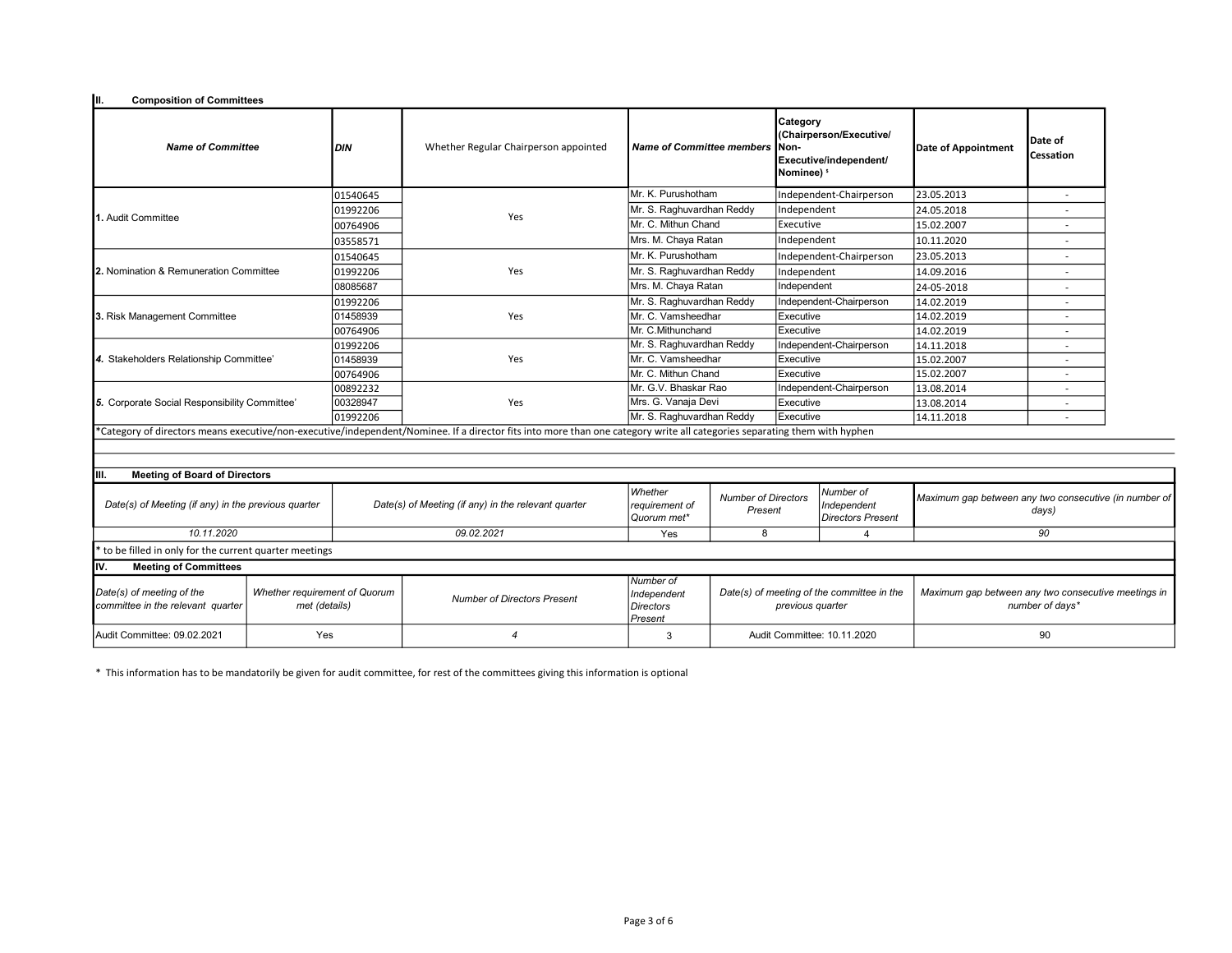| Iш.<br><b>Composition of Committees</b>                                                                          |  |                                    |                                                                                                                                                                           |                                          |                                                                |                                                                                                |                                                                        |                                                                |                          |  |
|------------------------------------------------------------------------------------------------------------------|--|------------------------------------|---------------------------------------------------------------------------------------------------------------------------------------------------------------------------|------------------------------------------|----------------------------------------------------------------|------------------------------------------------------------------------------------------------|------------------------------------------------------------------------|----------------------------------------------------------------|--------------------------|--|
| <b>Name of Committee</b>                                                                                         |  | DIN                                | Whether Regular Chairperson appointed                                                                                                                                     | <b>Name of Committee members</b>         |                                                                | Category<br>(Chairperson/Executive/<br>Non-<br>Executive/independent/<br>Nominee) <sup>5</sup> |                                                                        | Date of Appointment                                            | Date of<br>Cessation     |  |
|                                                                                                                  |  | 01540645                           |                                                                                                                                                                           | ไMr. K. Purushotham                      |                                                                |                                                                                                | Independent-Chairperson                                                | 23.05.2013                                                     |                          |  |
|                                                                                                                  |  | 01992206                           |                                                                                                                                                                           | Mr. S. Raghuvardhan Reddy                |                                                                | Independent                                                                                    |                                                                        | 24.05.2018                                                     |                          |  |
| 1. Audit Committee                                                                                               |  | 00764906                           | Yes                                                                                                                                                                       | Mr. C. Mithun Chand                      |                                                                | Executive                                                                                      |                                                                        | 15.02.2007                                                     |                          |  |
|                                                                                                                  |  | 03558571                           |                                                                                                                                                                           | Mrs. M. Chaya Ratan                      |                                                                | Independent                                                                                    |                                                                        | 10.11.2020                                                     |                          |  |
|                                                                                                                  |  | 01540645                           |                                                                                                                                                                           | Mr. K. Purushotham                       |                                                                | Independent-Chairperson                                                                        | 23.05.2013                                                             |                                                                |                          |  |
| 2. Nomination & Remuneration Committee                                                                           |  | 01992206                           | Yes                                                                                                                                                                       | Mr. S. Raghuvardhan Reddy                |                                                                | Independent                                                                                    |                                                                        | 14.09.2016                                                     | ٠                        |  |
|                                                                                                                  |  | 08085687                           |                                                                                                                                                                           | Mrs. M. Chaya Ratan                      | Independent                                                    |                                                                                                |                                                                        | 24-05-2018                                                     |                          |  |
|                                                                                                                  |  | 01992206                           |                                                                                                                                                                           | Mr. S. Raghuvardhan Reddy                |                                                                | Independent-Chairperson                                                                        |                                                                        | 14.02.2019                                                     |                          |  |
| 3. Risk Management Committee                                                                                     |  | 01458939                           | Yes                                                                                                                                                                       | Mr. C. Vamsheedhar                       |                                                                | Executive                                                                                      |                                                                        | 14.02.2019                                                     | $\overline{\phantom{a}}$ |  |
|                                                                                                                  |  | 00764906                           |                                                                                                                                                                           | Mr. C.Mithunchand                        | Executive                                                      |                                                                                                |                                                                        | 14.02.2019                                                     |                          |  |
| 4. Stakeholders Relationship Committee'                                                                          |  | 01992206                           |                                                                                                                                                                           | Mr. S. Raghuvardhan Reddy                |                                                                |                                                                                                | Independent-Chairperson                                                | 14.11.2018                                                     |                          |  |
|                                                                                                                  |  | 01458939                           | Yes                                                                                                                                                                       | Mr. C. Vamsheedhar                       | Executive                                                      |                                                                                                |                                                                        | 15.02.2007                                                     |                          |  |
|                                                                                                                  |  | 00764906                           |                                                                                                                                                                           | Mr. C. Mithun Chand                      | Executive                                                      |                                                                                                |                                                                        | 15.02.2007                                                     |                          |  |
| 5. Corporate Social Responsibility Committee'                                                                    |  | 00892232                           |                                                                                                                                                                           |                                          | Mr. G.V. Bhaskar Rao                                           |                                                                                                | Independent-Chairperson                                                | 13.08.2014                                                     |                          |  |
|                                                                                                                  |  | 00328947                           | Yes                                                                                                                                                                       | Mrs. G. Vanaja Devi                      |                                                                | Executive                                                                                      |                                                                        | 13.08.2014                                                     | $\overline{a}$           |  |
|                                                                                                                  |  | 01992206                           |                                                                                                                                                                           | Mr. S. Raghuvardhan Reddy<br>Executive   |                                                                |                                                                                                | 14.11.2018                                                             | $\overline{a}$                                                 |                          |  |
| <b>Meeting of Board of Directors</b><br>IIII.                                                                    |  |                                    | *Category of directors means executive/non-executive/independent/Nominee. If a director fits into more than one category write all categories separating them with hyphen |                                          |                                                                |                                                                                                |                                                                        |                                                                |                          |  |
| Date(s) of Meeting (if any) in the previous quarter                                                              |  |                                    | Date(s) of Meeting (if any) in the relevant quarter                                                                                                                       | Whether<br>requirement of<br>Quorum met* | <b>Number of Directors</b><br>Present                          |                                                                                                | Number of<br>Independent<br><b>Directors Present</b>                   | Maximum gap between any two consecutive (in number of<br>days) |                          |  |
| 10.11.2020                                                                                                       |  | 09.02.2021                         | Yes                                                                                                                                                                       | 8                                        |                                                                | $\overline{4}$                                                                                 | 90                                                                     |                                                                |                          |  |
| to be filled in only for the current quarter meetings                                                            |  |                                    |                                                                                                                                                                           |                                          |                                                                |                                                                                                |                                                                        |                                                                |                          |  |
| Iv.<br><b>Meeting of Committees</b>                                                                              |  |                                    |                                                                                                                                                                           |                                          |                                                                |                                                                                                |                                                                        |                                                                |                          |  |
| Date(s) of meeting of the<br>Whether requirement of Quorum<br>committee in the relevant quarter<br>met (details) |  | <b>Number of Directors Present</b> | Number of<br>Independent<br><b>Directors</b><br>Present                                                                                                                   |                                          | Date(s) of meeting of the committee in the<br>previous quarter |                                                                                                | Maximum gap between any two consecutive meetings in<br>number of days* |                                                                |                          |  |
| Yes<br>Audit Committee: 09.02.2021                                                                               |  | $\boldsymbol{\varDelta}$           | 3                                                                                                                                                                         |                                          | Audit Committee: 10.11.2020                                    |                                                                                                | 90                                                                     |                                                                |                          |  |

\* This information has to be mandatorily be given for audit committee, for rest of the committees giving this information is optional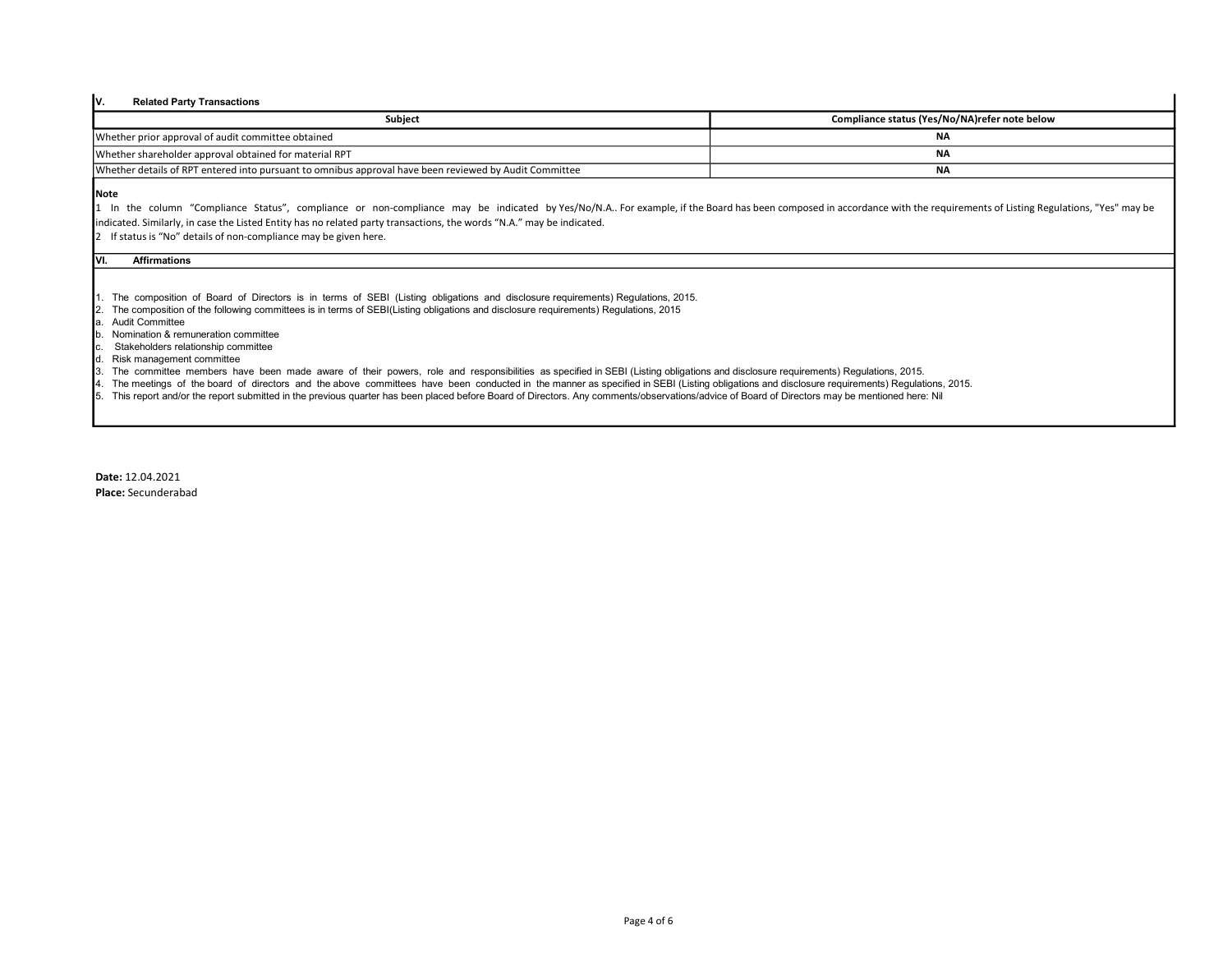# V. Related Party Transactions

| Subject                                                                                                | Compliance status (Yes/No/NA)refer note below |
|--------------------------------------------------------------------------------------------------------|-----------------------------------------------|
| Whether prior approval of audit committee obtained                                                     |                                               |
| Whether shareholder approval obtained for material RPT                                                 | NA                                            |
| Whether details of RPT entered into pursuant to omnibus approval have been reviewed by Audit Committee | <b>NA</b>                                     |

### Note

1 In the column "Compliance Status", compliance or non-compliance may be indicated by Yes/No/N.A.. For example, if the Board has been composed in accordance with the requirements of Listing Regulations, "Yes" may be indicated. Similarly, in case the Listed Entity has no related party transactions, the words "N.A." may be indicated.

2 If status is "No" details of non-compliance may be given here.

#### VI. Affirmations

1. The composition of Board of Directors is in terms of SEBI (Listing obligations and disclosure requirements) Regulations, 2015.

- 2. The composition of the following committees is in terms of SEBI(Listing obligations and disclosure requirements) Regulations, 2015
- a. Audit Committee
- b. Nomination & remuneration committee
- c. Stakeholders relationship committee
- d. Risk management committee
- 3. The committee members have been made aware of their powers, role and responsibilities as specified in SEBI (Listing obligations and disclosure requirements) Regulations, 2015.
- 4. The meetings of the board of directors and the above committees have been conducted in the manner as specified in SEBI (Listing obligations and disclosure requirements) Regulations, 2015.
- 5. This report and/or the report submitted in the previous quarter has been placed before Board of Directors. Any comments/observations/advice of Board of Directors may be mentioned here: Nil

Date: 12.04.2021 Place: Secunderabad